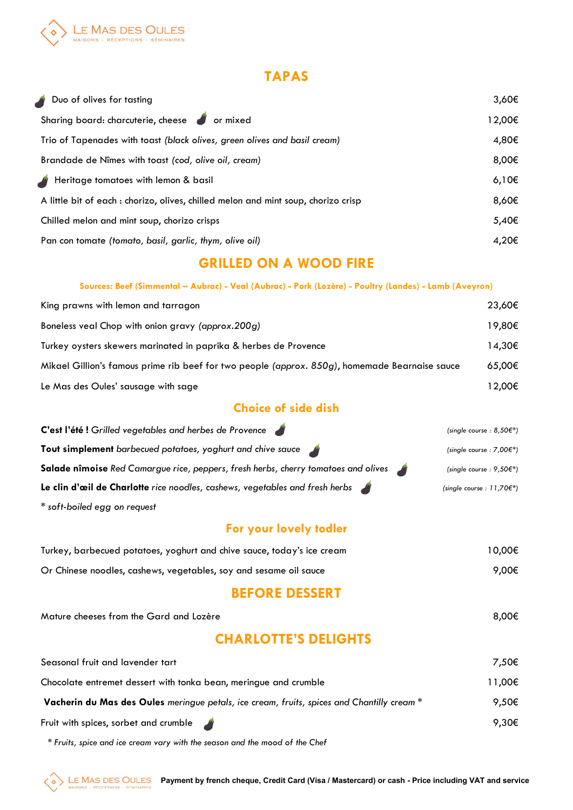

#### TAPAS

| Duo of olives for tasting                                                          | 3,60€  |
|------------------------------------------------------------------------------------|--------|
| Sharing board: charcuterie, cheese or mixed                                        | 12,00€ |
| Trio of Tapenades with toast (black olives, green olives and basil cream)          | 4,80€  |
| Brandade de Nîmes with toast (cod, olive oil, cream)                               | 8,00€  |
| Heritage tomatoes with lemon & basil                                               | 6,10€  |
| A little bit of each : chorizo, olives, chilled melon and mint soup, chorizo crisp | 8,60€  |
| Chilled melon and mint soup, chorizo crisps                                        | 5,40€  |
| Pan con tomate (tomato, basil, garlic, thym, olive oil)                            | 4,20€  |

# GRILLED ON A WOOD FIRE

#### Sources: Beef (Simmental – Aubrac) - Veal (Aubrac) - Pork (Lozère) - Poultry (Landes) - Lamb (Aveyron)

| King prawns with lemon and tarragon                                                            | 23,60€ |
|------------------------------------------------------------------------------------------------|--------|
| Boneless veal Chop with onion gravy (approx.200g)                                              | 19,80€ |
| Turkey oysters skewers marinated in paprika & herbes de Provence                               | 14,30€ |
| Mikael Gillion's famous prime rib beef for two people (approx. 850g), homemade Bearnaise sauce | 65,00€ |
| Le Mas des Oules' sausage with sage                                                            | 12,00€ |

# Choice of side dish

| C'est l'été ! Grilled vegetables and herbes de Provence                            | (single course: $8,50 \in \mathbb{N}$ )  |
|------------------------------------------------------------------------------------|------------------------------------------|
| Tout simplement barbecued potatoes, yoghurt and chive sauce                        | (single course : $7,00f$ <sup>*</sup> )  |
| Salade nîmoise Red Camargue rice, peppers, fresh herbs, cherry tomatoes and olives | (single course : $9,50f$ <sup>*</sup> )  |
| Le clin d'œil de Charlotte rice noodles, cashews, vegetables and fresh herbs       | (single course : $11,70f$ <sup>*</sup> ) |
| * soft-boiled egg on request                                                       |                                          |

#### For your lovely todler

| Turkey, barbecued potatoes, yoghurt and chive sauce, today's ice cream | 10,00€ |
|------------------------------------------------------------------------|--------|
| Or Chinese noodles, cashews, vegetables, soy and sesame oil sauce      | 9,00€  |

### BEFORE DESSERT

Mature cheeses from the Gard and Lozère  $8,00\in$ 

# CHARLOTTE'S DELIGHTS

| Seasonal fruit and lavender tart                                                                  | 7,50€  |
|---------------------------------------------------------------------------------------------------|--------|
| Chocolate entremet dessert with tonka bean, meringue and crumble                                  | 11,00€ |
| <b>Vacherin du Mas des Oules</b> meringue petals, ice cream, fruits, spices and Chantilly cream * | 9.50€  |
| Fruit with spices, sorbet and crumble                                                             | 9,30€  |

\* Fruits, spice and ice cream vary with the season and the mood of the Chef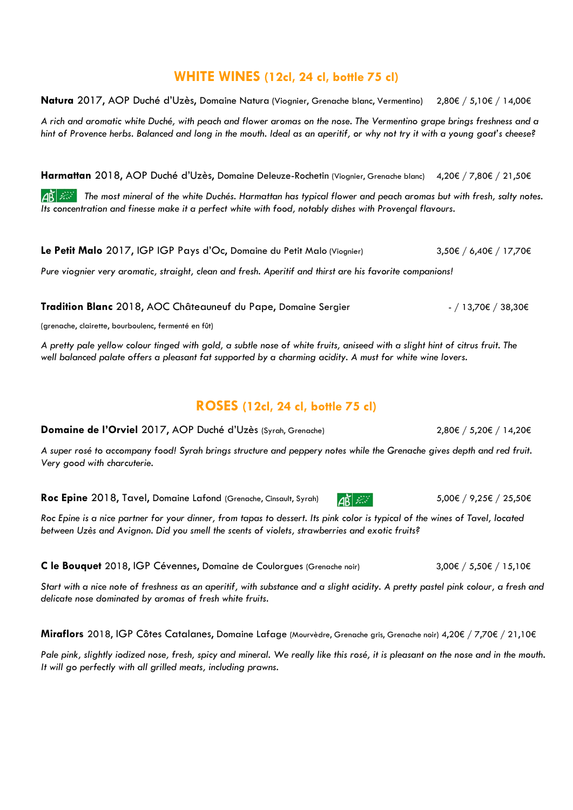#### WHITE WINES (12cl, 24 cl, bottle 75 cl)

Natura 2017, AOP Duché d'Uzès, Domaine Natura (Viognier, Grenache blanc, Vermentino) 2,80€ / 5,10€ / 14,00€

A rich and aromatic white Duché, with peach and flower aromas on the nose. The Vermentino grape brings freshness and a hint of Provence herbs. Balanced and long in the mouth. Ideal as an aperitif, or why not try it with a young goat's cheese?

Harmattan 2018, AOP Duché d'Uzès, Domaine Deleuze-Rochetin (Viognier, Grenache blanc) 4,20€ / 7,80€ / 21,50€

The most mineral of the white Duchés. Harmattan has typical flower and peach aromas but with fresh, salty notes. Its concentration and finesse make it a perfect white with food, notably dishes with Provençal flavours.

Le Petit Malo 2017, IGP IGP Pays d'Oc, Domaine du Petit Malo (Viognier) 3,50€ / 6,40€ / 17,70€

Pure viognier very aromatic, straight, clean and fresh. Aperitif and thirst are his favorite companions!

Tradition Blanc 2018, AOC Châteauneuf du Pape, Domaine Sergier - 13,70€ / 38,30€

(grenache, clairette, bourboulenc, fermenté en fût)

A pretty pale yellow colour tinged with gold, a subtle nose of white fruits, aniseed with a slight hint of citrus fruit. The well balanced palate offers a pleasant fat supported by a charming acidity. A must for white wine lovers.

## ROSES (12cl, 24 cl, bottle 75 cl)

Domaine de l'Orviel 2017, AOP Duché d'Uzès (Syrah, Grenache) 2,80€ / 5,20€ / 14,20€

A super rosé to accompany food! Syrah brings structure and peppery notes while the Grenache gives depth and red fruit. Very good with charcuterie.

Roc Epine 2018, Tavel, Domaine Lafond (Grenache, Cinsault, Syrah)  $\frac{1}{28}$  3. 50€ / 9,00€ / 9,25€ / 25,50€

Roc Epine is a nice partner for your dinner, from tapas to dessert. Its pink color is typical of the wines of Tavel, located between Uzès and Avignon. Did you smell the scents of violets, strawberries and exotic fruits?

C le Bouquet 2018, IGP Cévennes, Domaine de Coulorgues (Grenache noir) 3,00€ / 5,50€ / 15,10€

Start with a nice note of freshness as an aperitif, with substance and a slight acidity. A pretty pastel pink colour, a fresh and delicate nose dominated by aromas of fresh white fruits.

Miraflors 2018, IGP Côtes Catalanes, Domaine Lafage (Mourvèdre, Grenache gris, Grenache noir) 4,20€ / 7,70€ / 21,10€

Pale pink, slightly iodized nose, fresh, spicy and mineral. We really like this rosé, it is pleasant on the nose and in the mouth. It will go perfectly with all grilled meats, including prawns.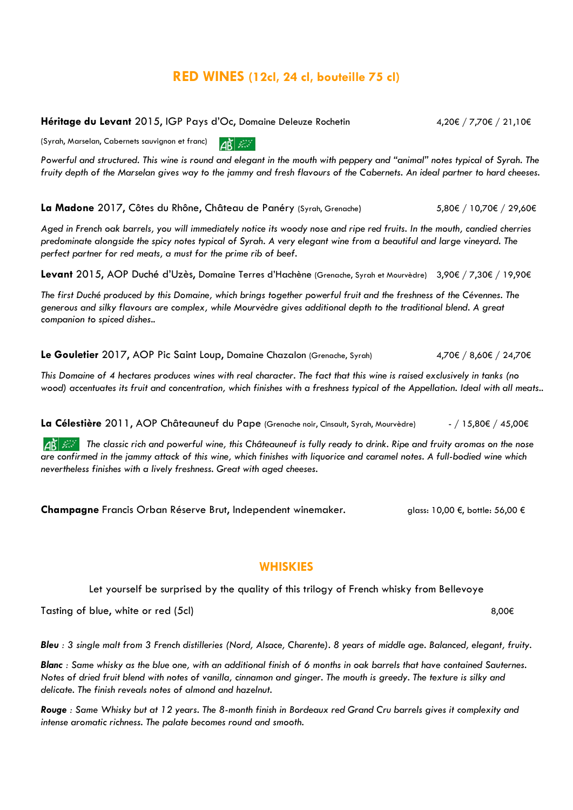## RED WINES (12cl, 24 cl, bouteille 75 cl)

Héritage du Levant 2015, IGP Pays d'Oc, Domaine Deleuze Rochetin 4,20€ / 7,70€ / 21,10€

(Syrah, Marselan, Cabernets sauvignon et franc)  $\Delta \mathbf{R}$   $\mathbf{R}$ 

Powerful and structured. This wine is round and elegant in the mouth with peppery and "animal" notes typical of Syrah. The fruity depth of the Marselan gives way to the jammy and fresh flavours of the Cabernets. An ideal partner to hard cheeses.

La Madone 2017, Côtes du Rhône, Château de Panéry (Syrah, Grenache) 5,80€ / 10,70€ / 29,60€

Aged in French oak barrels, you will immediately notice its woody nose and ripe red fruits. In the mouth, candied cherries predominate alongside the spicy notes typical of Syrah. A very elegant wine from a beautiful and large vineyard. The perfect partner for red meats, a must for the prime rib of beef.

Levant 2015, AOP Duché d'Uzès, Domaine Terres d'Hachène (Grenache, Syrah et Mourvèdre) 3,90€ / 7,30€ / 19,90€

The first Duché produced by this Domaine, which brings together powerful fruit and the freshness of the Cévennes. The generous and silky flavours are complex, while Mourvèdre gives additional depth to the traditional blend. A great companion to spiced dishes..

Le Gouletier 2017, AOP Pic Saint Loup, Domaine Chazalon (Grenache, Syrah) 4,70€ / 8,60€ / 24,70€

This Domaine of 4 hectares produces wines with real character. The fact that this wine is raised exclusively in tanks (no wood) accentuates its fruit and concentration, which finishes with a freshness typical of the Appellation. Ideal with all meats..

La Célestière 2011, AOP Châteauneuf du Pape (Grenache noir, Cinsault, Syrah, Mourvèdre) - / 15,80€ / 45,00€

 $\overline{AB}$  The classic rich and powerful wine, this Châteauneuf is fully ready to drink. Ripe and fruity aromas on the nose are confirmed in the jammy attack of this wine, which finishes with liquorice and caramel notes. A full-bodied wine which nevertheless finishes with a lively freshness. Great with aged cheeses.

Champagne Francis Orban Réserve Brut, Independent winemaker. glass: 10,00 €, bottle: 56,00 €

#### **WHISKIES**

Let yourself be surprised by the quality of this trilogy of French whisky from Bellevoye

Tasting of blue, white or red (5cl)  $8,00 \in$ 

Bleu : 3 single malt from 3 French distilleries (Nord, Alsace, Charente). 8 years of middle age. Balanced, elegant, fruity.

Blanc : Same whisky as the blue one, with an additional finish of 6 months in oak barrels that have contained Sauternes. Notes of dried fruit blend with notes of vanilla, cinnamon and ginger. The mouth is greedy. The texture is silky and delicate. The finish reveals notes of almond and hazelnut.

Rouge : Same Whisky but at 12 years. The 8-month finish in Bordeaux red Grand Cru barrels gives it complexity and intense aromatic richness. The palate becomes round and smooth.